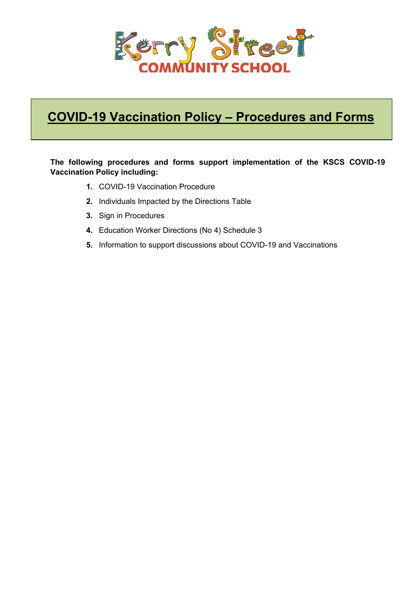

## **COVID-19 Vaccination Policy – Procedures and Forms**

#### **The following procedures and forms support implementation of the KSCS COVID-19 Vaccination Policy including:**

- **1.** COVID-19 Vaccination Procedure
- **2.** Individuals Impacted by the Directions Table
- **3.** Sign in Procedures
- **4.** Education Worker Directions (No 4) Schedule 3
- **5.** Information to support discussions about COVID-19 and Vaccinations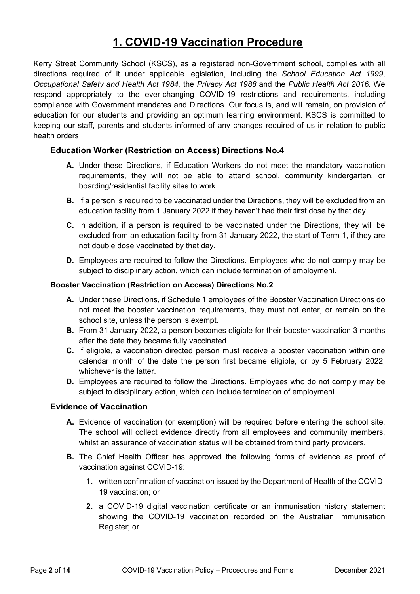## **1. COVID-19 Vaccination Procedure**

Kerry Street Community School (KSCS), as a registered non-Government school, complies with all directions required of it under applicable legislation, including the *School Education Act 1999*, *Occupational Safety and Health Act 1984,* the *Privacy Act 1988* and the *Public Health Act 2016*. We respond appropriately to the ever-changing COVID-19 restrictions and requirements, including compliance with Government mandates and Directions. Our focus is, and will remain, on provision of education for our students and providing an optimum learning environment. KSCS is committed to keeping our staff, parents and students informed of any changes required of us in relation to public health orders

#### **Education Worker (Restriction on Access) Directions No.4**

- **A.** Under these Directions, if Education Workers do not meet the mandatory vaccination requirements, they will not be able to attend school, community kindergarten, or boarding/residential facility sites to work.
- **B.** If a person is required to be vaccinated under the Directions, they will be excluded from an education facility from 1 January 2022 if they haven't had their first dose by that day.
- **C.** In addition, if a person is required to be vaccinated under the Directions, they will be excluded from an education facility from 31 January 2022, the start of Term 1, if they are not double dose vaccinated by that day.
- **D.** Employees are required to follow the Directions. Employees who do not comply may be subject to disciplinary action, which can include termination of employment.

#### **Booster Vaccination (Restriction on Access) Directions No.2**

- **A.** Under these Directions, if Schedule 1 employees of the Booster Vaccination Directions do not meet the booster vaccination requirements, they must not enter, or remain on the school site, unless the person is exempt.
- **B.** From 31 January 2022, a person becomes eligible for their booster vaccination 3 months after the date they became fully vaccinated.
- **C.** If eligible, a vaccination directed person must receive a booster vaccination within one calendar month of the date the person first became eligible, or by 5 February 2022, whichever is the latter.
- **D.** Employees are required to follow the Directions. Employees who do not comply may be subject to disciplinary action, which can include termination of employment.

#### **Evidence of Vaccination**

- **A.** Evidence of vaccination (or exemption) will be required before entering the school site. The school will collect evidence directly from all employees and community members, whilst an assurance of vaccination status will be obtained from third party providers.
- **B.** The Chief Health Officer has approved the following forms of evidence as proof of vaccination against COVID-19:
	- **1.** written confirmation of vaccination issued by the Department of Health of the COVID-19 vaccination; or
	- **2.** a COVID-19 digital vaccination certificate or an immunisation history statement showing the COVID-19 vaccination recorded on the Australian Immunisation Register; or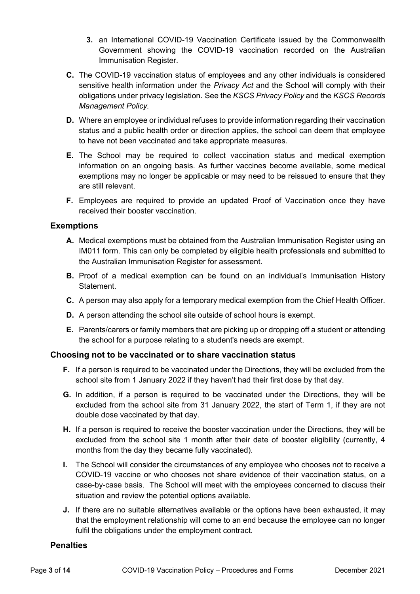- **3.** an International COVID-19 Vaccination Certificate issued by the Commonwealth Government showing the COVID-19 vaccination recorded on the Australian Immunisation Register.
- **C.** The COVID-19 vaccination status of employees and any other individuals is considered sensitive health information under the *Privacy Act* and the School will comply with their obligations under privacy legislation. See the *KSCS Privacy Policy* and the *KSCS Records Management Policy.*
- **D.** Where an employee or individual refuses to provide information regarding their vaccination status and a public health order or direction applies, the school can deem that employee to have not been vaccinated and take appropriate measures.
- **E.** The School may be required to collect vaccination status and medical exemption information on an ongoing basis. As further vaccines become available, some medical exemptions may no longer be applicable or may need to be reissued to ensure that they are still relevant.
- **F.** Employees are required to provide an updated Proof of Vaccination once they have received their booster vaccination.

#### **Exemptions**

- **A.** Medical exemptions must be obtained from the Australian Immunisation Register using an IM011 form. This can only be completed by eligible health professionals and submitted to the Australian Immunisation Register for assessment.
- **B.** Proof of a medical exemption can be found on an individual's Immunisation History Statement.
- **C.** A person may also apply for a temporary medical exemption from the Chief Health Officer.
- **D.** A person attending the school site outside of school hours is exempt.
- **E.** Parents/carers or family members that are picking up or dropping off a student or attending the school for a purpose relating to a student's needs are exempt.

#### **Choosing not to be vaccinated or to share vaccination status**

- **F.** If a person is required to be vaccinated under the Directions, they will be excluded from the school site from 1 January 2022 if they haven't had their first dose by that day.
- **G.** In addition, if a person is required to be vaccinated under the Directions, they will be excluded from the school site from 31 January 2022, the start of Term 1, if they are not double dose vaccinated by that day.
- **H.** If a person is required to receive the booster vaccination under the Directions, they will be excluded from the school site 1 month after their date of booster eligibility (currently, 4 months from the day they became fully vaccinated).
- **I.** The School will consider the circumstances of any employee who chooses not to receive a COVID-19 vaccine or who chooses not share evidence of their vaccination status, on a case-by-case basis. The School will meet with the employees concerned to discuss their situation and review the potential options available.
- **J.** If there are no suitable alternatives available or the options have been exhausted, it may that the employment relationship will come to an end because the employee can no longer fulfil the obligations under the employment contract.

#### **Penalties**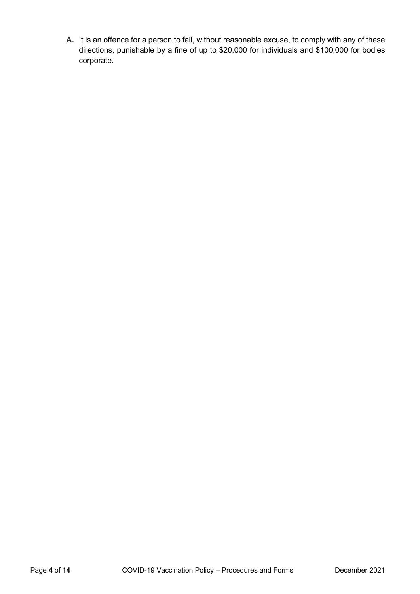**A.** It is an offence for a person to fail, without reasonable excuse, to comply with any of these directions, punishable by a fine of up to \$20,000 for individuals and \$100,000 for bodies corporate.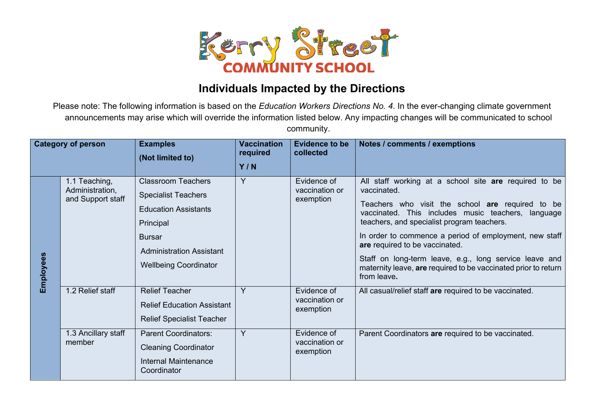

## **Individuals Impacted by the Directions**

Please note: The following information is based on the *Education Workers Directions No. 4*. In the ever-changing climate government announcements may arise which will override the information listed below. Any impacting changes will be communicated to school community.

| <b>Category of person</b> |                                                                           | <b>Examples</b><br>(Not limited to)                                                                                                                                                                              | <b>Vaccination</b><br>required<br>Y/N | <b>Evidence to be</b><br>collected                        | Notes / comments / exemptions                                                                                                                                                                                                                                                                                                                                                                                                                                                                                                 |
|---------------------------|---------------------------------------------------------------------------|------------------------------------------------------------------------------------------------------------------------------------------------------------------------------------------------------------------|---------------------------------------|-----------------------------------------------------------|-------------------------------------------------------------------------------------------------------------------------------------------------------------------------------------------------------------------------------------------------------------------------------------------------------------------------------------------------------------------------------------------------------------------------------------------------------------------------------------------------------------------------------|
| Employees                 | 1.1 Teaching,<br>Administration,<br>and Support staff<br>1.2 Relief staff | <b>Classroom Teachers</b><br><b>Specialist Teachers</b><br><b>Education Assistants</b><br>Principal<br><b>Bursar</b><br><b>Administration Assistant</b><br><b>Wellbeing Coordinator</b><br><b>Relief Teacher</b> | Y<br>Y                                | Evidence of<br>vaccination or<br>exemption<br>Evidence of | All staff working at a school site are required to be<br>vaccinated.<br>Teachers who visit the school are required to be<br>vaccinated. This includes music teachers, language<br>teachers, and specialist program teachers.<br>In order to commence a period of employment, new staff<br>are required to be vaccinated.<br>Staff on long-term leave, e.g., long service leave and<br>maternity leave, are required to be vaccinated prior to return<br>from leave.<br>All casual/relief staff are required to be vaccinated. |
|                           |                                                                           | <b>Relief Education Assistant</b><br><b>Relief Specialist Teacher</b>                                                                                                                                            |                                       | vaccination or<br>exemption                               |                                                                                                                                                                                                                                                                                                                                                                                                                                                                                                                               |
|                           | 1.3 Ancillary staff<br>member                                             | <b>Parent Coordinators:</b><br><b>Cleaning Coordinator</b><br>Internal Maintenance<br>Coordinator                                                                                                                | Y                                     | Evidence of<br>vaccination or<br>exemption                | Parent Coordinators are required to be vaccinated.                                                                                                                                                                                                                                                                                                                                                                                                                                                                            |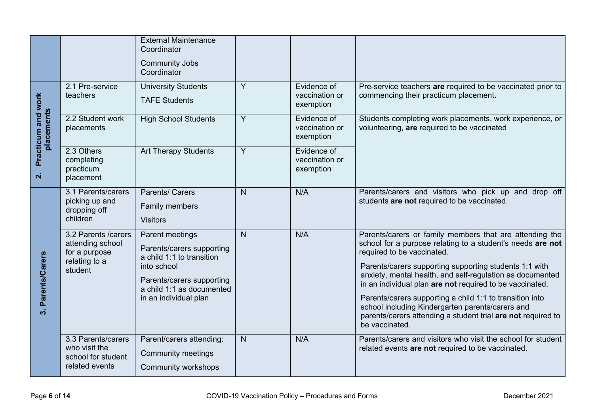|                                      |                                                                                       | <b>External Maintenance</b><br>Coordinator<br><b>Community Jobs</b><br>Coordinator                                                                                          |                |                                            |                                                                                                                                                                                                                                                                                                                                                                                                                                                                                                                                          |
|--------------------------------------|---------------------------------------------------------------------------------------|-----------------------------------------------------------------------------------------------------------------------------------------------------------------------------|----------------|--------------------------------------------|------------------------------------------------------------------------------------------------------------------------------------------------------------------------------------------------------------------------------------------------------------------------------------------------------------------------------------------------------------------------------------------------------------------------------------------------------------------------------------------------------------------------------------------|
|                                      | 2.1 Pre-service<br>teachers                                                           | <b>University Students</b><br><b>TAFE Students</b>                                                                                                                          | Y              | Evidence of<br>vaccination or<br>exemption | Pre-service teachers are required to be vaccinated prior to<br>commencing their practicum placement.                                                                                                                                                                                                                                                                                                                                                                                                                                     |
| Practicum and work<br>placements     | 2.2 Student work<br>placements                                                        | <b>High School Students</b>                                                                                                                                                 | Y              | Evidence of<br>vaccination or<br>exemption | Students completing work placements, work experience, or<br>volunteering, are required to be vaccinated                                                                                                                                                                                                                                                                                                                                                                                                                                  |
| $\overline{\mathbf{N}}$              | 2.3 Others<br>completing<br>practicum<br>placement                                    | <b>Art Therapy Students</b>                                                                                                                                                 | $\overline{Y}$ | Evidence of<br>vaccination or<br>exemption |                                                                                                                                                                                                                                                                                                                                                                                                                                                                                                                                          |
|                                      | 3.1 Parents/carers<br>picking up and<br>dropping off<br>children                      | Parents/ Carers<br>Family members<br><b>Visitors</b>                                                                                                                        | N              | N/A                                        | Parents/carers and visitors who pick up and drop off<br>students are not required to be vaccinated.                                                                                                                                                                                                                                                                                                                                                                                                                                      |
| Parents/Carers<br>$\dot{\mathbf{c}}$ | 3.2 Parents / carers<br>attending school<br>for a purpose<br>relating to a<br>student | Parent meetings<br>Parents/carers supporting<br>a child 1:1 to transition<br>into school<br>Parents/carers supporting<br>a child 1:1 as documented<br>in an individual plan | $\mathsf{N}$   | N/A                                        | Parents/carers or family members that are attending the<br>school for a purpose relating to a student's needs are not<br>required to be vaccinated.<br>Parents/carers supporting supporting students 1:1 with<br>anxiety, mental health, and self-regulation as documented<br>in an individual plan are not required to be vaccinated.<br>Parents/carers supporting a child 1:1 to transition into<br>school including Kindergarten parents/carers and<br>parents/carers attending a student trial are not required to<br>be vaccinated. |
|                                      | 3.3 Parents/carers<br>who visit the<br>school for student<br>related events           | Parent/carers attending:<br><b>Community meetings</b><br>Community workshops                                                                                                | N              | N/A                                        | Parents/carers and visitors who visit the school for student<br>related events are not required to be vaccinated.                                                                                                                                                                                                                                                                                                                                                                                                                        |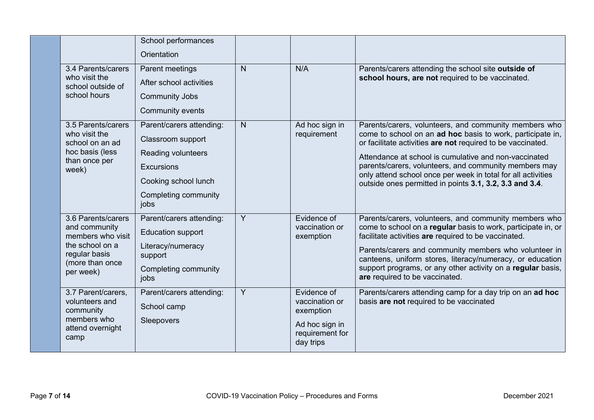|                                                                                                                              | School performances<br>Orientation                                                                                                               |   |                                                                                              |                                                                                                                                                                                                                                                                                                                                                                                                                                 |
|------------------------------------------------------------------------------------------------------------------------------|--------------------------------------------------------------------------------------------------------------------------------------------------|---|----------------------------------------------------------------------------------------------|---------------------------------------------------------------------------------------------------------------------------------------------------------------------------------------------------------------------------------------------------------------------------------------------------------------------------------------------------------------------------------------------------------------------------------|
| 3.4 Parents/carers<br>who visit the<br>school outside of<br>school hours                                                     | Parent meetings<br>After school activities<br><b>Community Jobs</b><br>Community events                                                          | N | N/A                                                                                          | Parents/carers attending the school site outside of<br>school hours, are not required to be vaccinated.                                                                                                                                                                                                                                                                                                                         |
| 3.5 Parents/carers<br>who visit the<br>school on an ad<br>hoc basis (less<br>than once per<br>week)                          | Parent/carers attending:<br>Classroom support<br>Reading volunteers<br><b>Excursions</b><br>Cooking school lunch<br>Completing community<br>jobs | N | Ad hoc sign in<br>requirement                                                                | Parents/carers, volunteers, and community members who<br>come to school on an ad hoc basis to work, participate in,<br>or facilitate activities are not required to be vaccinated.<br>Attendance at school is cumulative and non-vaccinated<br>parents/carers, volunteers, and community members may<br>only attend school once per week in total for all activities<br>outside ones permitted in points 3.1, 3.2, 3.3 and 3.4. |
| 3.6 Parents/carers<br>and community<br>members who visit<br>the school on a<br>regular basis<br>(more than once<br>per week) | Parent/carers attending:<br><b>Education support</b><br>Literacy/numeracy<br>support<br>Completing community<br>jobs                             | Y | Evidence of<br>vaccination or<br>exemption                                                   | Parents/carers, volunteers, and community members who<br>come to school on a regular basis to work, participate in, or<br>facilitate activities are required to be vaccinated.<br>Parents/carers and community members who volunteer in<br>canteens, uniform stores, literacy/numeracy, or education<br>support programs, or any other activity on a regular basis,<br>are required to be vaccinated.                           |
| 3.7 Parent/carers,<br>volunteers and<br>community<br>members who<br>attend overnight<br>camp                                 | Parent/carers attending:<br>School camp<br>Sleepovers                                                                                            | Y | Evidence of<br>vaccination or<br>exemption<br>Ad hoc sign in<br>requirement for<br>day trips | Parents/carers attending camp for a day trip on an ad hoc<br>basis are not required to be vaccinated                                                                                                                                                                                                                                                                                                                            |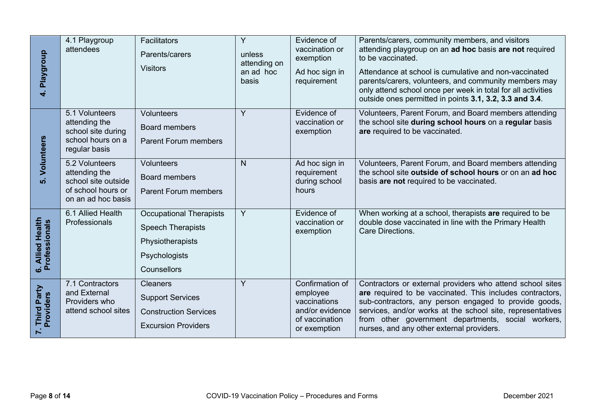| 4. Playgroup                                                                        | 4.1 Playgroup<br>attendees                                                                         | Facilitators<br>Parents/carers<br><b>Visitors</b>                                                              | $\overline{Y}$<br>unless<br>attending on<br>an ad hoc<br>basis | Evidence of<br>vaccination or<br>exemption<br>Ad hoc sign in<br>requirement                      | Parents/carers, community members, and visitors<br>attending playgroup on an ad hoc basis are not required<br>to be vaccinated.<br>Attendance at school is cumulative and non-vaccinated<br>parents/carers, volunteers, and community members may<br>only attend school once per week in total for all activities<br>outside ones permitted in points 3.1, 3.2, 3.3 and 3.4. |
|-------------------------------------------------------------------------------------|----------------------------------------------------------------------------------------------------|----------------------------------------------------------------------------------------------------------------|----------------------------------------------------------------|--------------------------------------------------------------------------------------------------|------------------------------------------------------------------------------------------------------------------------------------------------------------------------------------------------------------------------------------------------------------------------------------------------------------------------------------------------------------------------------|
|                                                                                     | 5.1 Volunteers<br>attending the<br>school site during<br>school hours on a<br>regular basis        | Volunteers<br><b>Board members</b><br><b>Parent Forum members</b>                                              | $\overline{Y}$                                                 | Evidence of<br>vaccination or<br>exemption                                                       | Volunteers, Parent Forum, and Board members attending<br>the school site during school hours on a regular basis<br>are required to be vaccinated.                                                                                                                                                                                                                            |
| 5. Volunteers                                                                       | 5.2 Volunteers<br>attending the<br>school site outside<br>of school hours or<br>on an ad hoc basis | Volunteers<br>Board members<br><b>Parent Forum members</b>                                                     | N                                                              | Ad hoc sign in<br>requirement<br>during school<br>hours                                          | Volunteers, Parent Forum, and Board members attending<br>the school site outside of school hours or on an ad hoc<br>basis are not required to be vaccinated.                                                                                                                                                                                                                 |
| 6. Allied Health<br>Professionals                                                   | 6.1 Allied Health<br>Professionals                                                                 | <b>Occupational Therapists</b><br><b>Speech Therapists</b><br>Physiotherapists<br>Psychologists<br>Counsellors | $\overline{Y}$                                                 | Evidence of<br>vaccination or<br>exemption                                                       | When working at a school, therapists are required to be<br>double dose vaccinated in line with the Primary Health<br>Care Directions.                                                                                                                                                                                                                                        |
| Third Party<br>Providers                                                            | 7.1 Contractors<br>and External<br>Providers who<br>attend school sites                            | <b>Cleaners</b><br><b>Support Services</b><br><b>Construction Services</b><br><b>Excursion Providers</b>       | Y                                                              | Confirmation of<br>employee<br>vaccinations<br>and/or evidence<br>of vaccination<br>or exemption | Contractors or external providers who attend school sites<br>are required to be vaccinated. This includes contractors,<br>sub-contractors, any person engaged to provide goods,<br>services, and/or works at the school site, representatives<br>from other government departments, social workers,<br>nurses, and any other external providers.                             |
| COVID-19 Vaccination Policy - Procedures and Forms<br>Page 8 of 14<br>December 2021 |                                                                                                    |                                                                                                                |                                                                |                                                                                                  |                                                                                                                                                                                                                                                                                                                                                                              |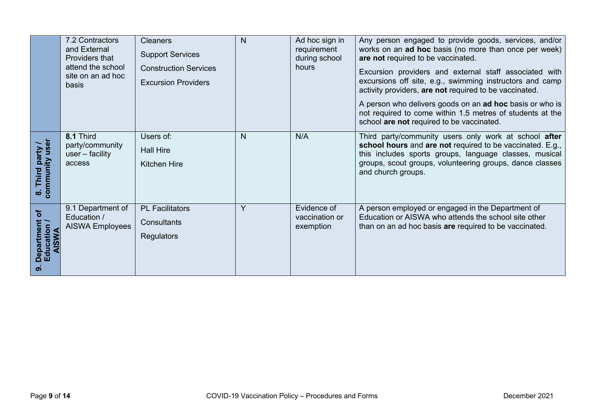|                                              | 7.2 Contractors<br>and External<br>Providers that<br>attend the school<br>site on an ad hoc<br>basis | <b>Cleaners</b><br><b>Support Services</b><br><b>Construction Services</b><br><b>Excursion Providers</b> | N | Ad hoc sign in<br>requirement<br>during school<br>hours | Any person engaged to provide goods, services, and/or<br>works on an ad hoc basis (no more than once per week)<br>are not required to be vaccinated.<br>Excursion providers and external staff associated with<br>excursions off site, e.g., swimming instructors and camp<br>activity providers, are not required to be vaccinated.<br>A person who delivers goods on an ad hoc basis or who is<br>not required to come within 1.5 metres of students at the<br>school are not required to be vaccinated. |
|----------------------------------------------|------------------------------------------------------------------------------------------------------|----------------------------------------------------------------------------------------------------------|---|---------------------------------------------------------|------------------------------------------------------------------------------------------------------------------------------------------------------------------------------------------------------------------------------------------------------------------------------------------------------------------------------------------------------------------------------------------------------------------------------------------------------------------------------------------------------------|
| community user<br>party<br>Third<br>$\infty$ | 8.1 Third<br>party/community<br>$user - facility$<br>access                                          | Users of:<br><b>Hall Hire</b><br><b>Kitchen Hire</b>                                                     | N | N/A                                                     | Third party/community users only work at school after<br>school hours and are not required to be vaccinated. E.g.,<br>this includes sports groups, language classes, musical<br>groups, scout groups, volunteering groups, dance classes<br>and church groups.                                                                                                                                                                                                                                             |
| ৳<br>partmen<br>Education<br>AISWA           | 9.1 Department of<br>Education /<br><b>AISWA Employees</b>                                           | <b>PL Facilitators</b><br>Consultants<br><b>Regulators</b>                                               | Y | Evidence of<br>vaccination or<br>exemption              | A person employed or engaged in the Department of<br>Education or AISWA who attends the school site other<br>than on an ad hoc basis are required to be vaccinated.                                                                                                                                                                                                                                                                                                                                        |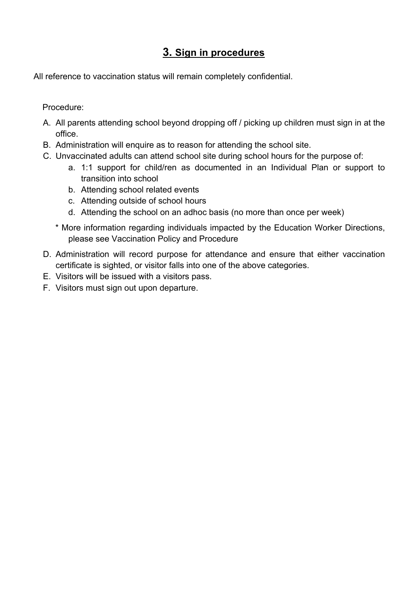## **3. Sign in procedures**

All reference to vaccination status will remain completely confidential.

Procedure:

- A. All parents attending school beyond dropping off / picking up children must sign in at the office.
- B. Administration will enquire as to reason for attending the school site.
- C. Unvaccinated adults can attend school site during school hours for the purpose of:
	- a. 1:1 support for child/ren as documented in an Individual Plan or support to transition into school
	- b. Attending school related events
	- c. Attending outside of school hours
	- d. Attending the school on an adhoc basis (no more than once per week)
	- \* More information regarding individuals impacted by the Education Worker Directions, please see Vaccination Policy and Procedure
- D. Administration will record purpose for attendance and ensure that either vaccination certificate is sighted, or visitor falls into one of the above categories.
- E. Visitors will be issued with a visitors pass.
- F. Visitors must sign out upon departure.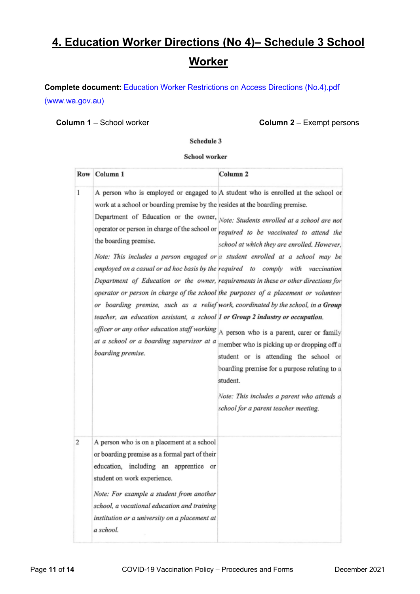## **4. Education Worker Directions (No 4)– Schedule 3 School Worker**

**Complete document:** Education Worker Restrictions on Access Directions (No.4).pdf (www.wa.gov.au)

**Column 1** – School worker **Column 2** – Exempt persons

Schedule 3

#### School worker

|              | Row Column 1                                                                                                                                                                                                                                                                                                                 | Column <sub>2</sub>                                                                                                                                                                                                                                                                                                                                                                                                                                                                                                                                                                                                                                                                                                                                                                                                                                                                                                                                                                                                                         |
|--------------|------------------------------------------------------------------------------------------------------------------------------------------------------------------------------------------------------------------------------------------------------------------------------------------------------------------------------|---------------------------------------------------------------------------------------------------------------------------------------------------------------------------------------------------------------------------------------------------------------------------------------------------------------------------------------------------------------------------------------------------------------------------------------------------------------------------------------------------------------------------------------------------------------------------------------------------------------------------------------------------------------------------------------------------------------------------------------------------------------------------------------------------------------------------------------------------------------------------------------------------------------------------------------------------------------------------------------------------------------------------------------------|
| $\mathbf{1}$ | work at a school or boarding premise by the resides at the boarding premise.<br>the boarding premise.<br>teacher, an education assistant, a school 1 or Group 2 industry or occupation.<br>officer or any other education staff working<br>at a school or a boarding supervisor at a<br>boarding premise.                    | A person who is employed or engaged to A student who is enrolled at the school or<br>Department of Education or the owner, Note: Students enrolled at a school are not<br>operator or person in charge of the school or required to be vaccinated to attend the<br>school at which they are enrolled. However,<br>Note: This includes a person engaged or a student enrolled at a school may be<br>employed on a casual or ad hoc basis by the required to comply with vaccination<br>Department of Education or the owner, requirements in these or other directions for<br>operator or person in charge of the school the purposes of a placement or volunteer<br>or boarding premise, such as a relief work, coordinated by the school, in a Group<br>A person who is a parent, carer or family<br>member who is picking up or dropping off a<br>student or is attending the school or<br>boarding premise for a purpose relating to a<br>student.<br>Note: This includes a parent who attends a<br>school for a parent teacher meeting. |
| 2            | A person who is on a placement at a school<br>or boarding premise as a formal part of their<br>education, including an apprentice or<br>student on work experience.<br>Note: For example a student from another<br>school, a vocational education and training<br>institution or a university on a placement at<br>a school. |                                                                                                                                                                                                                                                                                                                                                                                                                                                                                                                                                                                                                                                                                                                                                                                                                                                                                                                                                                                                                                             |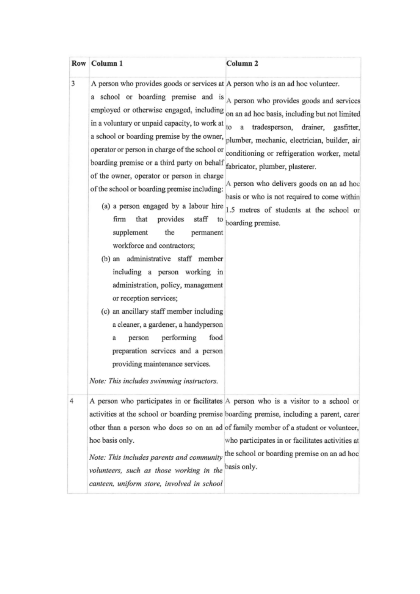|   | Row Column 1                                                                                                                                                                                                                                                                                                                                                                                                                                                                                                                                                                                                                                                                                                                                                                                                                                                                                                | Column <sub>2</sub>                                                                                                                                                                                                                                                                                                                                                                                                                                                                                                                  |
|---|-------------------------------------------------------------------------------------------------------------------------------------------------------------------------------------------------------------------------------------------------------------------------------------------------------------------------------------------------------------------------------------------------------------------------------------------------------------------------------------------------------------------------------------------------------------------------------------------------------------------------------------------------------------------------------------------------------------------------------------------------------------------------------------------------------------------------------------------------------------------------------------------------------------|--------------------------------------------------------------------------------------------------------------------------------------------------------------------------------------------------------------------------------------------------------------------------------------------------------------------------------------------------------------------------------------------------------------------------------------------------------------------------------------------------------------------------------------|
| 3 | A person who provides goods or services at A person who is an ad hoc volunteer.<br>in a voluntary or unpaid capacity, to work at<br>a school or boarding premise by the owner,<br>operator or person in charge of the school or<br>boarding premise or a third party on behalf fabricator, plumber, plasterer.<br>of the owner, operator or person in charge<br>of the school or boarding premise including:<br>provides<br>firm<br>that<br>staff<br>to<br>supplement<br>the<br>permanent<br>workforce and contractors;<br>(b) an administrative staff member<br>including a person working in<br>administration, policy, management<br>or reception services;<br>(c) an ancillary staff member including<br>a cleaner, a gardener, a handyperson<br>performing<br>food<br>person<br>а<br>preparation services and a person<br>providing maintenance services.<br>Note: This includes swimming instructors. | a school or boarding premise and is A person who provides goods and services<br>employed or otherwise engaged, including on an ad hoc basis, including but not limited<br>tradesperson, drainer, gasfitter,<br>to<br>$\mathbf{a}$<br>plumber, mechanic, electrician, builder, air<br>conditioning or refrigeration worker, metal<br>A person who delivers goods on an ad hoc<br>basis or who is not required to come within<br>(a) a person engaged by a labour hire $ 1.5$ metres of students at the school or<br>boarding premise. |
| 4 | hoc basis only.<br>Note: This includes parents and community<br>volunteers, such as those working in the<br>canteen, uniform store, involved in school                                                                                                                                                                                                                                                                                                                                                                                                                                                                                                                                                                                                                                                                                                                                                      | A person who participates in or facilitates A person who is a visitor to a school or<br>activities at the school or boarding premise boarding premise, including a parent, carer<br>other than a person who does so on an ad of family member of a student or volunteer,<br>who participates in or facilitates activities at<br>the school or boarding premise on an ad hoc<br>basis only.                                                                                                                                           |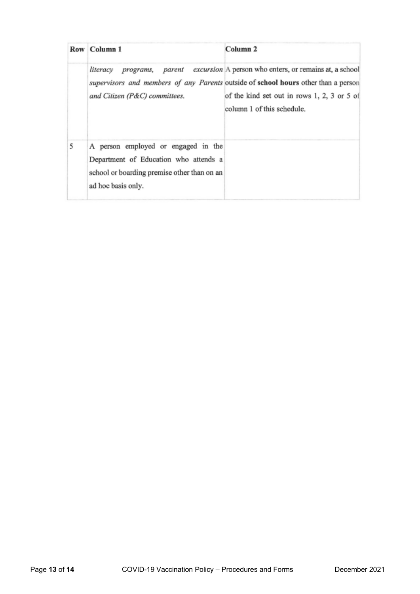|   | Row Column 1                                                                                                                                      | Column <sub>2</sub>                                                                                                                                                                                                                                        |
|---|---------------------------------------------------------------------------------------------------------------------------------------------------|------------------------------------------------------------------------------------------------------------------------------------------------------------------------------------------------------------------------------------------------------------|
|   | and Citizen (P&C) committees.                                                                                                                     | <i>literacy programs, parent excursion</i> A person who enters, or remains at, a school<br>supervisors and members of any Parents outside of school hours other than a person<br>of the kind set out in rows 1, 2, 3 or 5 of<br>column 1 of this schedule. |
| 5 | A person employed or engaged in the<br>Department of Education who attends a<br>school or boarding premise other than on an<br>ad hoc basis only. |                                                                                                                                                                                                                                                            |